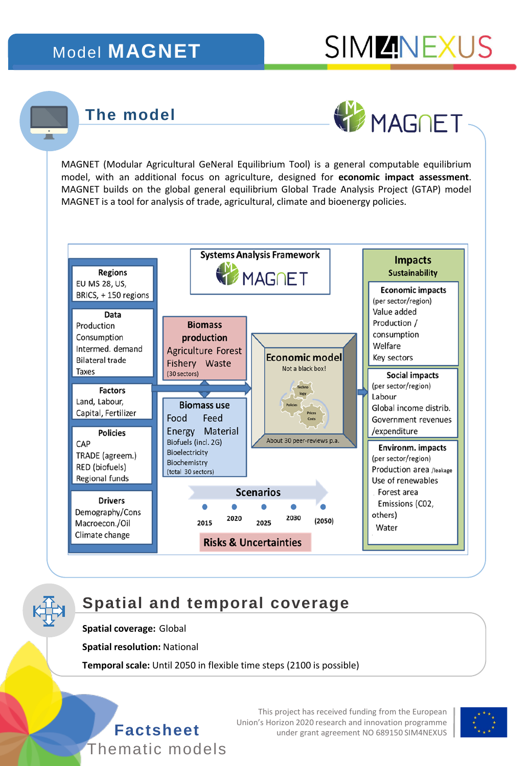# Model **MAGNET**



## **The model**



MAGNET (Modular Agricultural GeNeral Equilibrium Tool) is a general computable equilibrium model, with an additional focus on agriculture, designed for **economic impact assessment**. MAGNET builds on the global general equilibrium Global Trade Analysis Project (GTAP) model MAGNET is a tool for analysis of trade, agricultural, climate and bioenergy policies.



## **Spatial and temporal coverage**

**Spatial coverage:** Global

**Spatial resolution:** National

**Temporal scale:** Until 2050 in flexible time steps (2100 is possible)



This project has received funding from the European Union's Horizon 2020 research and innovation programme **Factsheet** under grant agreement NO 689150 SIM4NEXUS